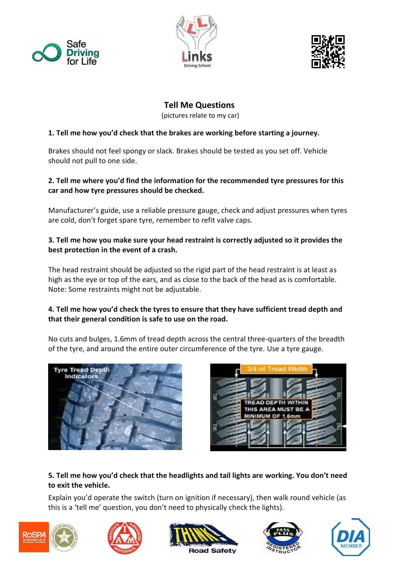





## **Tell Me Questions**

(pictures relate to my car)

#### **1. Tell me how you'd check that the brakes are working before starting a journey.**

Brakes should not feel spongy or slack. Brakes should be tested as you set off. Vehicle should not pull to one side.

#### **2. Tell me where you'd find the information for the recommended tyre pressures for this car and how tyre pressures should be checked.**

Manufacturer's guide, use a reliable pressure gauge, check and adjust pressures when tyres are cold, don't forget spare tyre, remember to refit valve caps.

## **3. Tell me how you make sure your head restraint is correctly adjusted so it provides the best protection in the event of a crash.**

The head restraint should be adjusted so the rigid part of the head restraint is at least as high as the eye or top of the ears, and as close to the back of the head as is comfortable. Note: Some restraints might not be adjustable.

## **4. Tell me how you'd check the tyres to ensure that they have sufficient tread depth and that their general condition is safe to use on the road.**

No cuts and bulges, 1.6mm of tread depth across the central three-quarters of the breadth of the tyre, and around the entire outer circumference of the tyre. Use a tyre gauge.





## **5. Tell me how you'd check that the headlights and tail lights are working. You don't need to exit the vehicle.**

Explain you'd operate the switch (turn on ignition if necessary), then walk round vehicle (as this is a 'tell me' question, you don't need to physically check the lights).









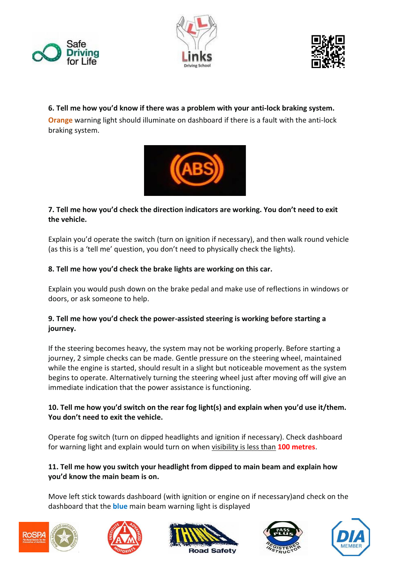





## **6. Tell me how you'd know if there was a problem with your anti-lock braking system.**

**Orange** warning light should illuminate on dashboard if there is a fault with the anti-lock braking system.



#### **7. Tell me how you'd check the direction indicators are working. You don't need to exit the vehicle.**

Explain you'd operate the switch (turn on ignition if necessary), and then walk round vehicle (as this is a 'tell me' question, you don't need to physically check the lights).

#### **8. Tell me how you'd check the brake lights are working on this car.**

Explain you would push down on the brake pedal and make use of reflections in windows or doors, or ask someone to help.

## **9. Tell me how you'd check the power-assisted steering is working before starting a journey.**

If the steering becomes heavy, the system may not be working properly. Before starting a journey, 2 simple checks can be made. Gentle pressure on the steering wheel, maintained while the engine is started, should result in a slight but noticeable movement as the system begins to operate. Alternatively turning the steering wheel just after moving off will give an immediate indication that the power assistance is functioning.

## **10. Tell me how you'd switch on the rear fog light(s) and explain when you'd use it/them. You don't need to exit the vehicle.**

Operate fog switch (turn on dipped headlights and ignition if necessary). Check dashboard for warning light and explain would turn on when visibility is less than **100 metres**.

## **11. Tell me how you switch your headlight from dipped to main beam and explain how you'd know the main beam is on.**

Move left stick towards dashboard (with ignition or engine on if necessary)and check on the dashboard that the **blue** main beam warning light is displayed









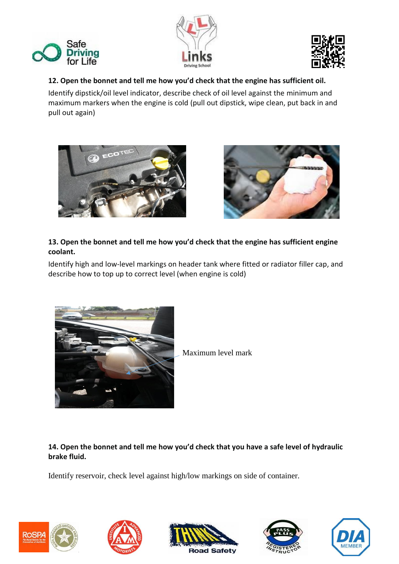





#### **12. Open the bonnet and tell me how you'd check that the engine has sufficient oil.**

Identify dipstick/oil level indicator, describe check of oil level against the minimum and maximum markers when the engine is cold (pull out dipstick, wipe clean, put back in and pull out again)





## **13. Open the bonnet and tell me how you'd check that the engine has sufficient engine coolant.**

Identify high and low-level markings on header tank where fitted or radiator filler cap, and describe how to top up to correct level (when engine is cold)



Maximum level mark

**14. Open the bonnet and tell me how you'd check that you have a safe level of hydraulic brake fluid.**

Identify reservoir, check level against high/low markings on side of container.